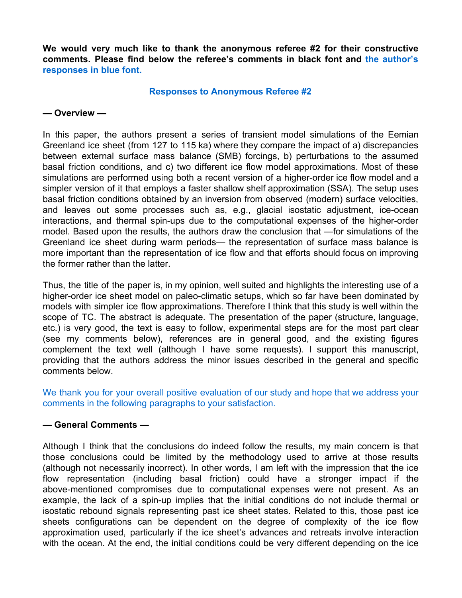**We would very much like to thank the anonymous referee #2 for their constructive comments. Please find below the referee's comments in black font and the author's responses in blue font.**

#### **Responses to Anonymous Referee #2**

### **— Overview —**

In this paper, the authors present a series of transient model simulations of the Eemian Greenland ice sheet (from 127 to 115 ka) where they compare the impact of a) discrepancies between external surface mass balance (SMB) forcings, b) perturbations to the assumed basal friction conditions, and c) two different ice flow model approximations. Most of these simulations are performed using both a recent version of a higher-order ice flow model and a simpler version of it that employs a faster shallow shelf approximation (SSA). The setup uses basal friction conditions obtained by an inversion from observed (modern) surface velocities, and leaves out some processes such as, e.g., glacial isostatic adjustment, ice-ocean interactions, and thermal spin-ups due to the computational expenses of the higher-order model. Based upon the results, the authors draw the conclusion that —for simulations of the Greenland ice sheet during warm periods— the representation of surface mass balance is more important than the representation of ice flow and that efforts should focus on improving the former rather than the latter.

Thus, the title of the paper is, in my opinion, well suited and highlights the interesting use of a higher-order ice sheet model on paleo-climatic setups, which so far have been dominated by models with simpler ice flow approximations. Therefore I think that this study is well within the scope of TC. The abstract is adequate. The presentation of the paper (structure, language, etc.) is very good, the text is easy to follow, experimental steps are for the most part clear (see my comments below), references are in general good, and the existing figures complement the text well (although I have some requests). I support this manuscript, providing that the authors address the minor issues described in the general and specific comments below.

We thank you for your overall positive evaluation of our study and hope that we address your comments in the following paragraphs to your satisfaction.

# **— General Comments —**

Although I think that the conclusions do indeed follow the results, my main concern is that those conclusions could be limited by the methodology used to arrive at those results (although not necessarily incorrect). In other words, I am left with the impression that the ice flow representation (including basal friction) could have a stronger impact if the above-mentioned compromises due to computational expenses were not present. As an example, the lack of a spin-up implies that the initial conditions do not include thermal or isostatic rebound signals representing past ice sheet states. Related to this, those past ice sheets configurations can be dependent on the degree of complexity of the ice flow approximation used, particularly if the ice sheet's advances and retreats involve interaction with the ocean. At the end, the initial conditions could be very different depending on the ice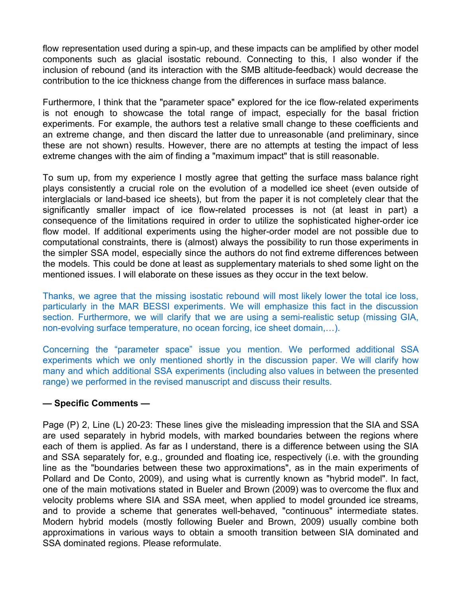flow representation used during a spin-up, and these impacts can be amplified by other model components such as glacial isostatic rebound. Connecting to this, I also wonder if the inclusion of rebound (and its interaction with the SMB altitude-feedback) would decrease the contribution to the ice thickness change from the differences in surface mass balance.

Furthermore, I think that the "parameter space" explored for the ice flow-related experiments is not enough to showcase the total range of impact, especially for the basal friction experiments. For example, the authors test a relative small change to these coefficients and an extreme change, and then discard the latter due to unreasonable (and preliminary, since these are not shown) results. However, there are no attempts at testing the impact of less extreme changes with the aim of finding a "maximum impact" that is still reasonable.

To sum up, from my experience I mostly agree that getting the surface mass balance right plays consistently a crucial role on the evolution of a modelled ice sheet (even outside of interglacials or land-based ice sheets), but from the paper it is not completely clear that the significantly smaller impact of ice flow-related processes is not (at least in part) a consequence of the limitations required in order to utilize the sophisticated higher-order ice flow model. If additional experiments using the higher-order model are not possible due to computational constraints, there is (almost) always the possibility to run those experiments in the simpler SSA model, especially since the authors do not find extreme differences between the models. This could be done at least as supplementary materials to shed some light on the mentioned issues. I will elaborate on these issues as they occur in the text below.

Thanks, we agree that the missing isostatic rebound will most likely lower the total ice loss, particularly in the MAR BESSI experiments. We will emphasize this fact in the discussion section. Furthermore, we will clarify that we are using a semi-realistic setup (missing GIA, non-evolving surface temperature, no ocean forcing, ice sheet domain,…).

Concerning the "parameter space" issue you mention. We performed additional SSA experiments which we only mentioned shortly in the discussion paper. We will clarify how many and which additional SSA experiments (including also values in between the presented range) we performed in the revised manuscript and discuss their results.

# **— Specific Comments —**

Page (P) 2, Line (L) 20-23: These lines give the misleading impression that the SIA and SSA are used separately in hybrid models, with marked boundaries between the regions where each of them is applied. As far as I understand, there is a difference between using the SIA and SSA separately for, e.g., grounded and floating ice, respectively (i.e. with the grounding line as the "boundaries between these two approximations", as in the main experiments of Pollard and De Conto, 2009), and using what is currently known as "hybrid model". In fact, one of the main motivations stated in Bueler and Brown (2009) was to overcome the flux and velocity problems where SIA and SSA meet, when applied to model grounded ice streams, and to provide a scheme that generates well-behaved, "continuous" intermediate states. Modern hybrid models (mostly following Bueler and Brown, 2009) usually combine both approximations in various ways to obtain a smooth transition between SIA dominated and SSA dominated regions. Please reformulate.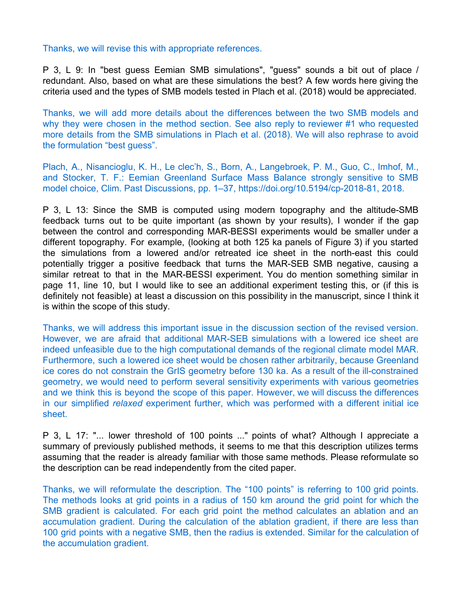Thanks, we will revise this with appropriate references.

P 3, L 9: In "best guess Eemian SMB simulations", "guess" sounds a bit out of place / redundant. Also, based on what are these simulations the best? A few words here giving the criteria used and the types of SMB models tested in Plach et al. (2018) would be appreciated.

Thanks, we will add more details about the differences between the two SMB models and why they were chosen in the method section. See also reply to reviewer #1 who requested more details from the SMB simulations in Plach et al. (2018). We will also rephrase to avoid the formulation "best guess".

Plach, A., Nisancioglu, K. H., Le clec'h, S., Born, A., Langebroek, P. M., Guo, C., Imhof, M., and Stocker, T. F.: Eemian Greenland Surface Mass Balance strongly sensitive to SMB model choice, Clim. Past Discussions, pp. 1–37, https://doi.org/10.5194/cp-2018-81, 2018.

P 3, L 13: Since the SMB is computed using modern topography and the altitude-SMB feedback turns out to be quite important (as shown by your results), I wonder if the gap between the control and corresponding MAR-BESSI experiments would be smaller under a different topography. For example, (looking at both 125 ka panels of Figure 3) if you started the simulations from a lowered and/or retreated ice sheet in the north-east this could potentially trigger a positive feedback that turns the MAR-SEB SMB negative, causing a similar retreat to that in the MAR-BESSI experiment. You do mention something similar in page 11, line 10, but I would like to see an additional experiment testing this, or (if this is definitely not feasible) at least a discussion on this possibility in the manuscript, since I think it is within the scope of this study.

Thanks, we will address this important issue in the discussion section of the revised version. However, we are afraid that additional MAR-SEB simulations with a lowered ice sheet are indeed unfeasible due to the high computational demands of the regional climate model MAR. Furthermore, such a lowered ice sheet would be chosen rather arbitrarily, because Greenland ice cores do not constrain the GrIS geometry before 130 ka. As a result of the ill-constrained geometry, we would need to perform several sensitivity experiments with various geometries and we think this is beyond the scope of this paper. However, we will discuss the differences in our simplified *relaxed* experiment further, which was performed with a different initial ice sheet.

P 3, L 17: "... lower threshold of 100 points ..." points of what? Although I appreciate a summary of previously published methods, it seems to me that this description utilizes terms assuming that the reader is already familiar with those same methods. Please reformulate so the description can be read independently from the cited paper.

Thanks, we will reformulate the description. The "100 points" is referring to 100 grid points. The methods looks at grid points in a radius of 150 km around the grid point for which the SMB gradient is calculated. For each grid point the method calculates an ablation and an accumulation gradient. During the calculation of the ablation gradient, if there are less than 100 grid points with a negative SMB, then the radius is extended. Similar for the calculation of the accumulation gradient.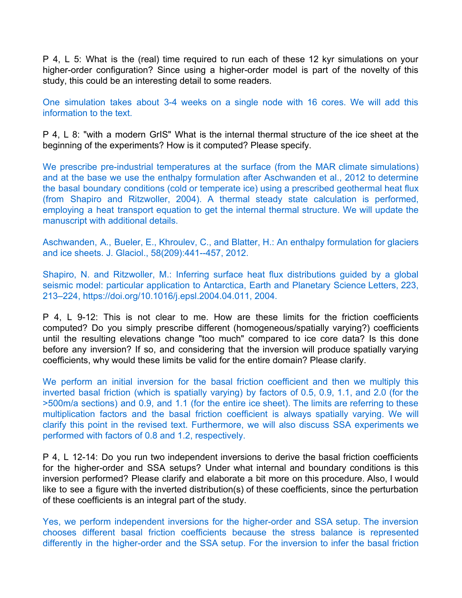P 4, L 5: What is the (real) time required to run each of these 12 kyr simulations on your higher-order configuration? Since using a higher-order model is part of the novelty of this study, this could be an interesting detail to some readers.

One simulation takes about 3-4 weeks on a single node with 16 cores. We will add this information to the text.

P 4, L 8: "with a modern GrIS" What is the internal thermal structure of the ice sheet at the beginning of the experiments? How is it computed? Please specify.

We prescribe pre-industrial temperatures at the surface (from the MAR climate simulations) and at the base we use the enthalpy formulation after Aschwanden et al., 2012 to determine the basal boundary conditions (cold or temperate ice) using a prescribed geothermal heat flux (from Shapiro and Ritzwoller, 2004). A thermal steady state calculation is performed, employing a heat transport equation to get the internal thermal structure. We will update the manuscript with additional details.

Aschwanden, A., Bueler, E., Khroulev, C., and Blatter, H.: An enthalpy formulation for glaciers and ice sheets. J. Glaciol., 58(209):441--457, 2012.

Shapiro, N. and Ritzwoller, M.: Inferring surface heat flux distributions guided by a global seismic model: particular application to Antarctica, Earth and Planetary Science Letters, 223, 213–224, https://doi.org/10.1016/j.epsl.2004.04.011, 2004.

P 4, L 9-12: This is not clear to me. How are these limits for the friction coefficients computed? Do you simply prescribe different (homogeneous/spatially varying?) coefficients until the resulting elevations change "too much" compared to ice core data? Is this done before any inversion? If so, and considering that the inversion will produce spatially varying coefficients, why would these limits be valid for the entire domain? Please clarify.

We perform an initial inversion for the basal friction coefficient and then we multiply this inverted basal friction (which is spatially varying) by factors of 0.5, 0.9, 1.1, and 2.0 (for the >500m/a sections) and 0.9, and 1.1 (for the entire ice sheet). The limits are referring to these multiplication factors and the basal friction coefficient is always spatially varying. We will clarify this point in the revised text. Furthermore, we will also discuss SSA experiments we performed with factors of 0.8 and 1.2, respectively.

P 4, L 12-14: Do you run two independent inversions to derive the basal friction coefficients for the higher-order and SSA setups? Under what internal and boundary conditions is this inversion performed? Please clarify and elaborate a bit more on this procedure. Also, I would like to see a figure with the inverted distribution(s) of these coefficients, since the perturbation of these coefficients is an integral part of the study.

Yes, we perform independent inversions for the higher-order and SSA setup. The inversion chooses different basal friction coefficients because the stress balance is represented differently in the higher-order and the SSA setup. For the inversion to infer the basal friction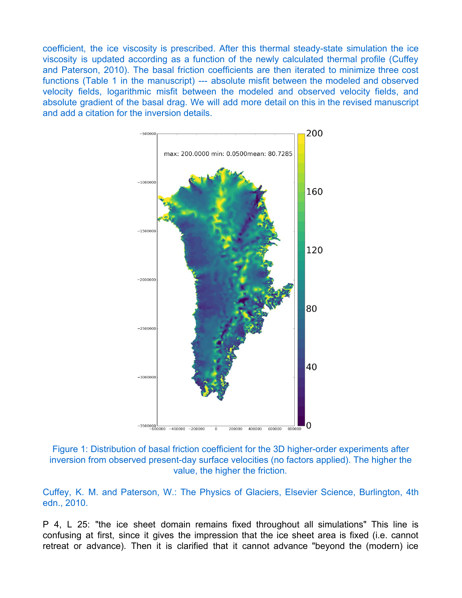coefficient, the ice viscosity is prescribed. After this thermal steady-state simulation the ice viscosity is updated according as a function of the newly calculated thermal profile (Cuffey and Paterson, 2010). The basal friction coefficients are then iterated to minimize three cost functions (Table 1 in the manuscript) --- absolute misfit between the modeled and observed velocity fields, logarithmic misfit between the modeled and observed velocity fields, and absolute gradient of the basal drag. We will add more detail on this in the revised manuscript and add a citation for the inversion details.



Figure 1: Distribution of basal friction coefficient for the 3D higher-order experiments after inversion from observed present-day surface velocities (no factors applied). The higher the value, the higher the friction.

Cuffey, K. M. and Paterson, W.: The Physics of Glaciers, Elsevier Science, Burlington, 4th edn., 2010.

P 4, L 25: "the ice sheet domain remains fixed throughout all simulations" This line is confusing at first, since it gives the impression that the ice sheet area is fixed (i.e. cannot retreat or advance). Then it is clarified that it cannot advance "beyond the (modern) ice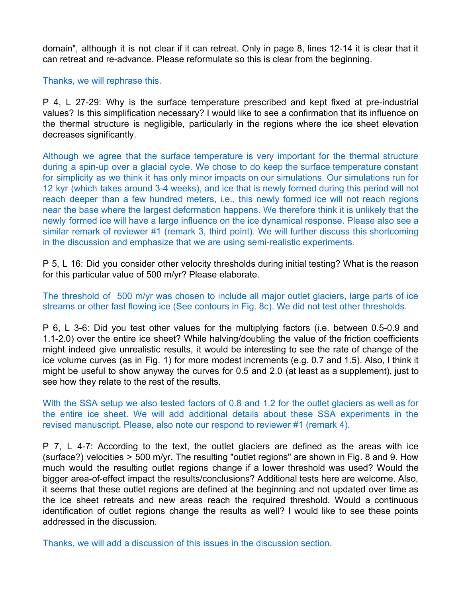domain", although it is not clear if it can retreat. Only in page 8, lines 12-14 it is clear that it can retreat and re-advance. Please reformulate so this is clear from the beginning.

#### Thanks, we will rephrase this.

P 4, L 27-29: Why is the surface temperature prescribed and kept fixed at pre-industrial values? Is this simplification necessary? I would like to see a confirmation that its influence on the thermal structure is negligible, particularly in the regions where the ice sheet elevation decreases significantly.

Although we agree that the surface temperature is very important for the thermal structure during a spin-up over a glacial cycle. We chose to do keep the surface temperature constant for simplicity as we think it has only minor impacts on our simulations. Our simulations run for 12 kyr (which takes around 3-4 weeks), and ice that is newly formed during this period will not reach deeper than a few hundred meters, i.e., this newly formed ice will not reach regions near the base where the largest deformation happens. We therefore think it is unlikely that the newly formed ice will have a large influence on the ice dynamical response. Please also see a similar remark of reviewer #1 (remark 3, third point). We will further discuss this shortcoming in the discussion and emphasize that we are using semi-realistic experiments.

P 5, L 16: Did you consider other velocity thresholds during initial testing? What is the reason for this particular value of 500 m/yr? Please elaborate.

The threshold of 500 m/yr was chosen to include all major outlet glaciers, large parts of ice streams or other fast flowing ice (See contours in Fig. 8c). We did not test other thresholds.

P 6, L 3-6: Did you test other values for the multiplying factors (i.e. between 0.5-0.9 and 1.1-2.0) over the entire ice sheet? While halving/doubling the value of the friction coefficients might indeed give unrealistic results, it would be interesting to see the rate of change of the ice volume curves (as in Fig. 1) for more modest increments (e.g. 0.7 and 1.5). Also, I think it might be useful to show anyway the curves for 0.5 and 2.0 (at least as a supplement), just to see how they relate to the rest of the results.

With the SSA setup we also tested factors of 0.8 and 1.2 for the outlet glaciers as well as for the entire ice sheet. We will add additional details about these SSA experiments in the revised manuscript. Please, also note our respond to reviewer #1 (remark 4).

P 7, L 4-7: According to the text, the outlet glaciers are defined as the areas with ice (surface?) velocities > 500 m/yr. The resulting "outlet regions" are shown in Fig. 8 and 9. How much would the resulting outlet regions change if a lower threshold was used? Would the bigger area-of-effect impact the results/conclusions? Additional tests here are welcome. Also, it seems that these outlet regions are defined at the beginning and not updated over time as the ice sheet retreats and new areas reach the required threshold. Would a continuous identification of outlet regions change the results as well? I would like to see these points addressed in the discussion.

Thanks, we will add a discussion of this issues in the discussion section.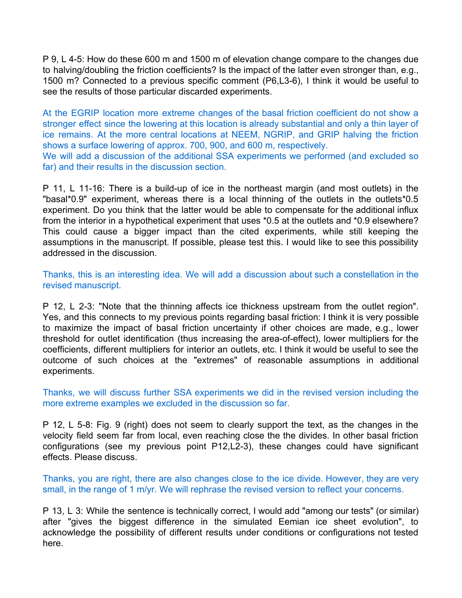P 9, L 4-5: How do these 600 m and 1500 m of elevation change compare to the changes due to halving/doubling the friction coefficients? Is the impact of the latter even stronger than, e.g., 1500 m? Connected to a previous specific comment (P6,L3-6), I think it would be useful to see the results of those particular discarded experiments.

At the EGRIP location more extreme changes of the basal friction coefficient do not show a stronger effect since the lowering at this location is already substantial and only a thin layer of ice remains. At the more central locations at NEEM, NGRIP, and GRIP halving the friction shows a surface lowering of approx. 700, 900, and 600 m, respectively. We will add a discussion of the additional SSA experiments we performed (and excluded so

far) and their results in the discussion section.

P 11, L 11-16: There is a build-up of ice in the northeast margin (and most outlets) in the "basal\*0.9" experiment, whereas there is a local thinning of the outlets in the outlets\*0.5 experiment. Do you think that the latter would be able to compensate for the additional influx from the interior in a hypothetical experiment that uses \*0.5 at the outlets and \*0.9 elsewhere? This could cause a bigger impact than the cited experiments, while still keeping the assumptions in the manuscript. If possible, please test this. I would like to see this possibility addressed in the discussion.

Thanks, this is an interesting idea. We will add a discussion about such a constellation in the revised manuscript.

P 12, L 2-3: "Note that the thinning affects ice thickness upstream from the outlet region". Yes, and this connects to my previous points regarding basal friction: I think it is very possible to maximize the impact of basal friction uncertainty if other choices are made, e.g., lower threshold for outlet identification (thus increasing the area-of-effect), lower multipliers for the coefficients, different multipliers for interior an outlets, etc. I think it would be useful to see the outcome of such choices at the "extremes" of reasonable assumptions in additional experiments.

Thanks, we will discuss further SSA experiments we did in the revised version including the more extreme examples we excluded in the discussion so far.

P 12, L 5-8: Fig. 9 (right) does not seem to clearly support the text, as the changes in the velocity field seem far from local, even reaching close the the divides. In other basal friction configurations (see my previous point P12,L2-3), these changes could have significant effects. Please discuss.

Thanks, you are right, there are also changes close to the ice divide. However, they are very small, in the range of 1 m/yr. We will rephrase the revised version to reflect your concerns.

P 13, L 3: While the sentence is technically correct, I would add "among our tests" (or similar) after "gives the biggest difference in the simulated Eemian ice sheet evolution", to acknowledge the possibility of different results under conditions or configurations not tested here.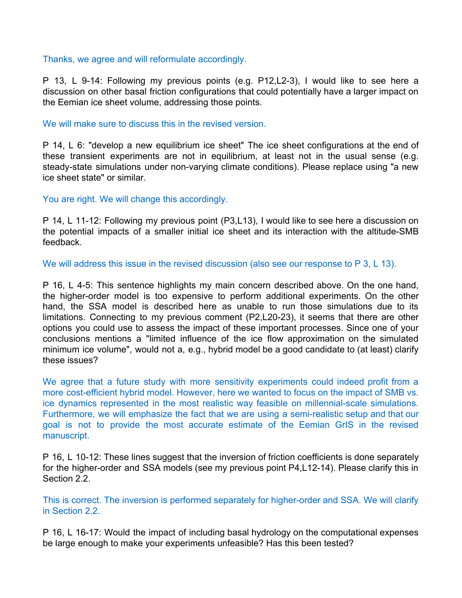Thanks, we agree and will reformulate accordingly.

P 13, L 9-14: Following my previous points (e.g. P12,L2-3), I would like to see here a discussion on other basal friction configurations that could potentially have a larger impact on the Eemian ice sheet volume, addressing those points.

We will make sure to discuss this in the revised version.

P 14, L 6: "develop a new equilibrium ice sheet" The ice sheet configurations at the end of these transient experiments are not in equilibrium, at least not in the usual sense (e.g. steady-state simulations under non-varying climate conditions). Please replace using "a new ice sheet state" or similar.

You are right. We will change this accordingly.

P 14, L 11-12: Following my previous point (P3,L13), I would like to see here a discussion on the potential impacts of a smaller initial ice sheet and its interaction with the altitude-SMB feedback.

We will address this issue in the revised discussion (also see our response to P 3, L 13).

P 16, L 4-5: This sentence highlights my main concern described above. On the one hand, the higher-order model is too expensive to perform additional experiments. On the other hand, the SSA model is described here as unable to run those simulations due to its limitations. Connecting to my previous comment (P2,L20-23), it seems that there are other options you could use to assess the impact of these important processes. Since one of your conclusions mentions a "limited influence of the ice flow approximation on the simulated minimum ice volume", would not a, e.g., hybrid model be a good candidate to (at least) clarify these issues?

We agree that a future study with more sensitivity experiments could indeed profit from a more cost-efficient hybrid model. However, here we wanted to focus on the impact of SMB vs. ice dynamics represented in the most realistic way feasible on millennial-scale simulations. Furthermore, we will emphasize the fact that we are using a semi-realistic setup and that our goal is not to provide the most accurate estimate of the Eemian GrIS in the revised manuscript.

P 16, L 10-12: These lines suggest that the inversion of friction coefficients is done separately for the higher-order and SSA models (see my previous point P4,L12-14). Please clarify this in Section 2.2.

This is correct. The inversion is performed separately for higher-order and SSA. We will clarify in Section 2.2.

P 16, L 16-17: Would the impact of including basal hydrology on the computational expenses be large enough to make your experiments unfeasible? Has this been tested?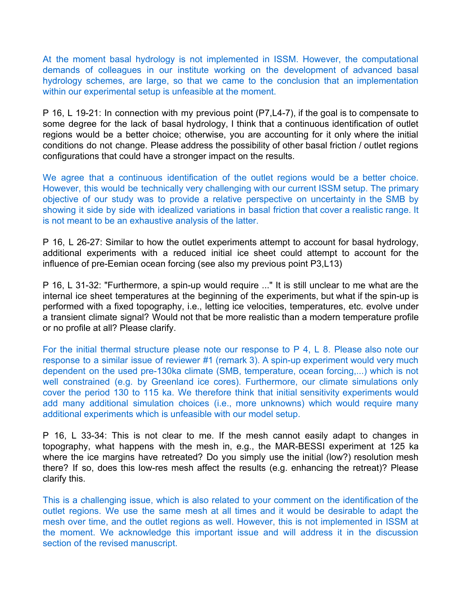At the moment basal hydrology is not implemented in ISSM. However, the computational demands of colleagues in our institute working on the development of advanced basal hydrology schemes, are large, so that we came to the conclusion that an implementation within our experimental setup is unfeasible at the moment.

P 16, L 19-21: In connection with my previous point (P7,L4-7), if the goal is to compensate to some degree for the lack of basal hydrology, I think that a continuous identification of outlet regions would be a better choice; otherwise, you are accounting for it only where the initial conditions do not change. Please address the possibility of other basal friction / outlet regions configurations that could have a stronger impact on the results.

We agree that a continuous identification of the outlet regions would be a better choice. However, this would be technically very challenging with our current ISSM setup. The primary objective of our study was to provide a relative perspective on uncertainty in the SMB by showing it side by side with idealized variations in basal friction that cover a realistic range. It is not meant to be an exhaustive analysis of the latter.

P 16, L 26-27: Similar to how the outlet experiments attempt to account for basal hydrology, additional experiments with a reduced initial ice sheet could attempt to account for the influence of pre-Eemian ocean forcing (see also my previous point P3,L13)

P 16, L 31-32: "Furthermore, a spin-up would require ..." It is still unclear to me what are the internal ice sheet temperatures at the beginning of the experiments, but what if the spin-up is performed with a fixed topography, i.e., letting ice velocities, temperatures, etc. evolve under a transient climate signal? Would not that be more realistic than a modern temperature profile or no profile at all? Please clarify.

For the initial thermal structure please note our response to P 4, L 8. Please also note our response to a similar issue of reviewer #1 (remark 3). A spin-up experiment would very much dependent on the used pre-130ka climate (SMB, temperature, ocean forcing,...) which is not well constrained (e.g. by Greenland ice cores). Furthermore, our climate simulations only cover the period 130 to 115 ka. We therefore think that initial sensitivity experiments would add many additional simulation choices (i.e., more unknowns) which would require many additional experiments which is unfeasible with our model setup.

P 16, L 33-34: This is not clear to me. If the mesh cannot easily adapt to changes in topography, what happens with the mesh in, e.g., the MAR-BESSI experiment at 125 ka where the ice margins have retreated? Do you simply use the initial (low?) resolution mesh there? If so, does this low-res mesh affect the results (e.g. enhancing the retreat)? Please clarify this.

This is a challenging issue, which is also related to your comment on the identification of the outlet regions. We use the same mesh at all times and it would be desirable to adapt the mesh over time, and the outlet regions as well. However, this is not implemented in ISSM at the moment. We acknowledge this important issue and will address it in the discussion section of the revised manuscript.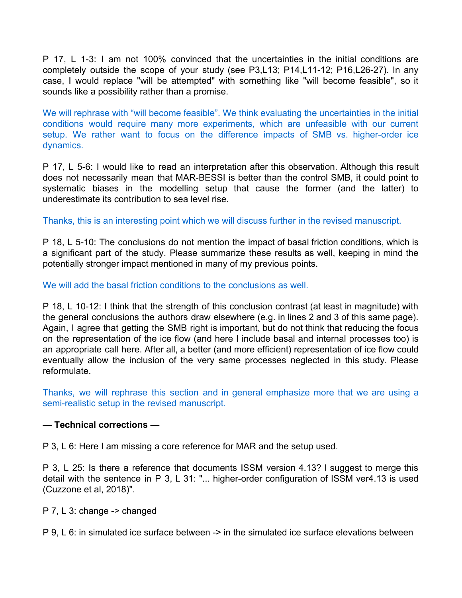P 17, L 1-3: I am not 100% convinced that the uncertainties in the initial conditions are completely outside the scope of your study (see P3,L13; P14,L11-12; P16,L26-27). In any case, I would replace "will be attempted" with something like "will become feasible", so it sounds like a possibility rather than a promise.

We will rephrase with "will become feasible". We think evaluating the uncertainties in the initial conditions would require many more experiments, which are unfeasible with our current setup. We rather want to focus on the difference impacts of SMB vs. higher-order ice dynamics.

P 17, L 5-6: I would like to read an interpretation after this observation. Although this result does not necessarily mean that MAR-BESSI is better than the control SMB, it could point to systematic biases in the modelling setup that cause the former (and the latter) to underestimate its contribution to sea level rise.

Thanks, this is an interesting point which we will discuss further in the revised manuscript.

P 18, L 5-10: The conclusions do not mention the impact of basal friction conditions, which is a significant part of the study. Please summarize these results as well, keeping in mind the potentially stronger impact mentioned in many of my previous points.

We will add the basal friction conditions to the conclusions as well.

P 18, L 10-12: I think that the strength of this conclusion contrast (at least in magnitude) with the general conclusions the authors draw elsewhere (e.g. in lines 2 and 3 of this same page). Again, I agree that getting the SMB right is important, but do not think that reducing the focus on the representation of the ice flow (and here I include basal and internal processes too) is an appropriate call here. After all, a better (and more efficient) representation of ice flow could eventually allow the inclusion of the very same processes neglected in this study. Please reformulate.

Thanks, we will rephrase this section and in general emphasize more that we are using a semi-realistic setup in the revised manuscript.

# **— Technical corrections —**

P 3, L 6: Here I am missing a core reference for MAR and the setup used.

P 3, L 25: Is there a reference that documents ISSM version 4.13? I suggest to merge this detail with the sentence in P 3, L 31: "... higher-order configuration of ISSM ver4.13 is used (Cuzzone et al, 2018)".

P 7, L 3: change -> changed

P 9, L 6: in simulated ice surface between -> in the simulated ice surface elevations between